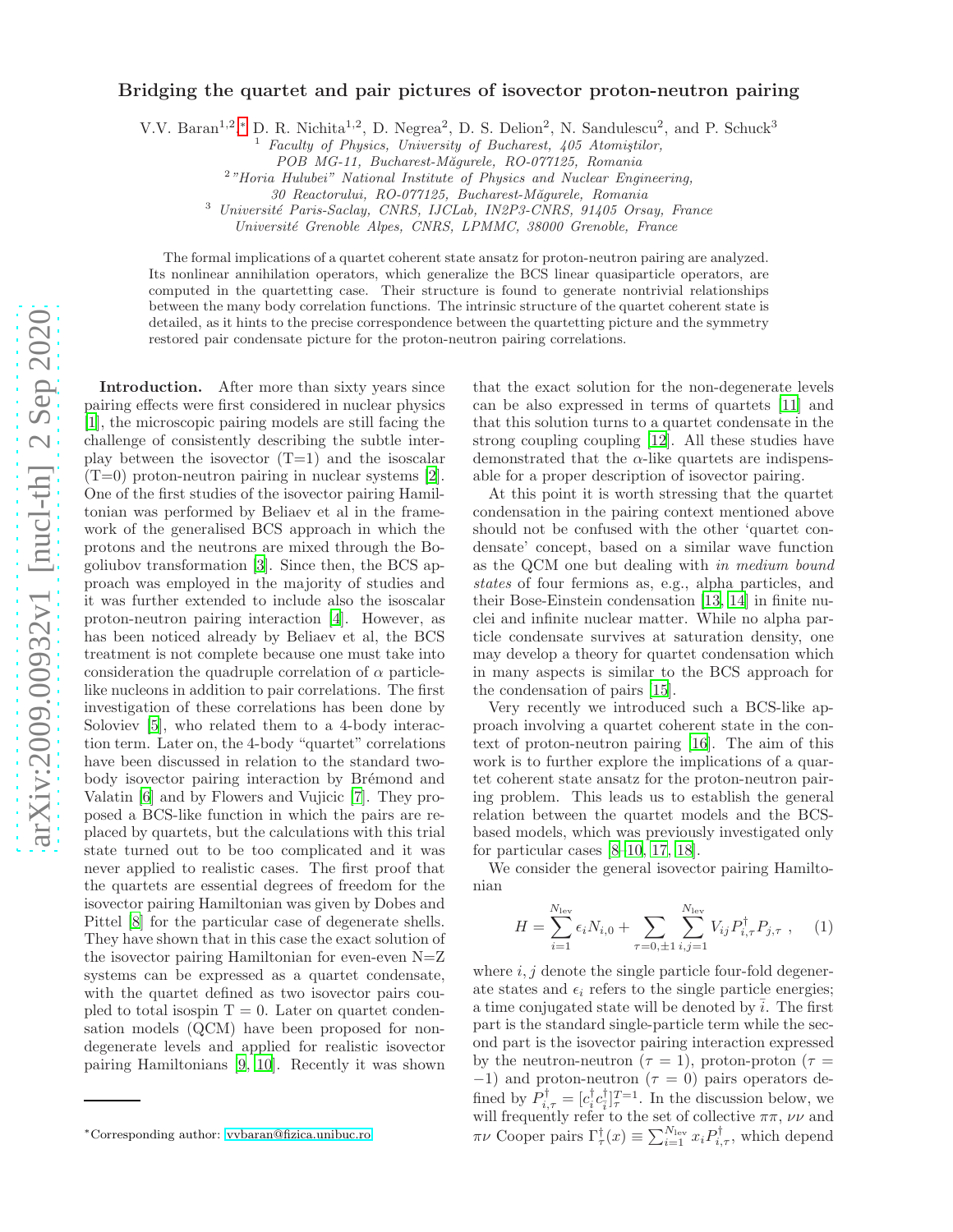## arXiv:2009.00932v1 [nucl-th] 2 Sep 2020 [arXiv:2009.00932v1 \[nucl-th\] 2 Sep 2020](http://arxiv.org/abs/2009.00932v1)

## Bridging the quartet and pair pictures of isovector proton-neutron pairing

V.V. Baran<sup>1,2</sup>,\* D. R. Nichita<sup>1,2</sup>, D. Negrea<sup>2</sup>, D. S. Delion<sup>2</sup>, N. Sandulescu<sup>2</sup>, and P. Schuck<sup>3</sup>

Faculty of Physics, University of Bucharest, 405 Atomiştilor,

<sup>2</sup>"Horia Hulubei" National Institute of Physics and Nuclear Engineering,

30 Reactorului, RO-077125, Bucharest-M˘agurele, Romania

<sup>3</sup> Université Paris-Saclay, CNRS, IJCLab, IN2P3-CNRS, 91405 Orsay, France

Université Grenoble Alpes, CNRS, LPMMC, 38000 Grenoble, France

The formal implications of a quartet coherent state ansatz for proton-neutron pairing are analyzed. Its nonlinear annihilation operators, which generalize the BCS linear quasiparticle operators, are computed in the quartetting case. Their structure is found to generate nontrivial relationships between the many body correlation functions. The intrinsic structure of the quartet coherent state is detailed, as it hints to the precise correspondence between the quartetting picture and the symmetry restored pair condensate picture for the proton-neutron pairing correlations.

Introduction. After more than sixty years since pairing effects were first considered in nuclear physics [\[1\]](#page-5-0), the microscopic pairing models are still facing the challenge of consistently describing the subtle interplay between the isovector  $(T=1)$  and the isoscalar  $(T=0)$  proton-neutron pairing in nuclear systems [\[2](#page-5-1)]. One of the first studies of the isovector pairing Hamiltonian was performed by Beliaev et al in the framework of the generalised BCS approach in which the protons and the neutrons are mixed through the Bogoliubov transformation [\[3\]](#page-5-2). Since then, the BCS approach was employed in the majority of studies and it was further extended to include also the isoscalar proton-neutron pairing interaction [\[4\]](#page-5-3). However, as has been noticed already by Beliaev et al, the BCS treatment is not complete because one must take into consideration the quadruple correlation of  $\alpha$  particlelike nucleons in addition to pair correlations. The first investigation of these correlations has been done by Soloviev [\[5\]](#page-5-4), who related them to a 4-body interaction term. Later on, the 4-body "quartet" correlations have been discussed in relation to the standard twobody isovector pairing interaction by Brémond and Valatin [\[6\]](#page-5-5) and by Flowers and Vujicic [\[7\]](#page-5-6). They proposed a BCS-like function in which the pairs are replaced by quartets, but the calculations with this trial state turned out to be too complicated and it was never applied to realistic cases. The first proof that the quartets are essential degrees of freedom for the isovector pairing Hamiltonian was given by Dobes and Pittel [\[8\]](#page-5-7) for the particular case of degenerate shells. They have shown that in this case the exact solution of the isovector pairing Hamiltonian for even-even  $N=Z$ systems can be expressed as a quartet condensate, with the quartet defined as two isovector pairs coupled to total isospin  $T = 0$ . Later on quartet condensation models (QCM) have been proposed for nondegenerate levels and applied for realistic isovector pairing Hamiltonians [\[9](#page-5-8), [10\]](#page-5-9). Recently it was shown that the exact solution for the non-degenerate levels can be also expressed in terms of quartets [\[11\]](#page-5-10) and that this solution turns to a quartet condensate in the strong coupling coupling [\[12](#page-5-11)]. All these studies have demonstrated that the  $\alpha$ -like quartets are indispensable for a proper description of isovector pairing.

At this point it is worth stressing that the quartet condensation in the pairing context mentioned above should not be confused with the other 'quartet condensate' concept, based on a similar wave function as the QCM one but dealing with in medium bound states of four fermions as, e.g., alpha particles, and their Bose-Einstein condensation [\[13,](#page-5-12) [14\]](#page-5-13) in finite nuclei and infinite nuclear matter. While no alpha particle condensate survives at saturation density, one may develop a theory for quartet condensation which in many aspects is similar to the BCS approach for the condensation of pairs [\[15](#page-5-14)].

Very recently we introduced such a BCS-like approach involving a quartet coherent state in the context of proton-neutron pairing [\[16\]](#page-5-15). The aim of this work is to further explore the implications of a quartet coherent state ansatz for the proton-neutron pairing problem. This leads us to establish the general relation between the quartet models and the BCSbased models, which was previously investigated only for particular cases [\[8](#page-5-7)[–10,](#page-5-9) [17,](#page-5-16) [18\]](#page-5-17).

We consider the general isovector pairing Hamiltonian

$$
H = \sum_{i=1}^{N_{\text{lev}}} \epsilon_i N_{i,0} + \sum_{\tau=0,\pm 1} \sum_{i,j=1}^{N_{\text{lev}}} V_{ij} P_{i,\tau}^{\dagger} P_{j,\tau} , \quad (1)
$$

where  $i, j$  denote the single particle four-fold degenerate states and  $\epsilon_i$  refers to the single particle energies; a time conjugated state will be denoted by  $\overline{i}$ . The first part is the standard single-particle term while the second part is the isovector pairing interaction expressed by the neutron-neutron ( $\tau = 1$ ), proton-proton ( $\tau =$  $-1$ ) and proton-neutron ( $\tau = 0$ ) pairs operators defined by  $P_{i,\tau}^{\dagger} = [c_i^{\dagger} c_i^{\dagger}]_{\tau}^{T=1}$ . In the discussion below, we will frequently refer to the set of collective  $\pi\pi$ ,  $\nu\nu$  and  $\pi \nu$  Cooper pairs  $\Gamma_{\tau}^{\dagger}(x) \equiv \sum_{i=1}^{N_{\text{lev}}} x_i P_{i,\tau}^{\dagger}$ , which depend

POB MG-11, Bucharest-Măgurele, RO-077125, Romania

<span id="page-0-0"></span><sup>∗</sup>Corresponding author: [vvbaran@fizica.unibuc.ro](mailto:vvbaran@fizica.unibuc.ro)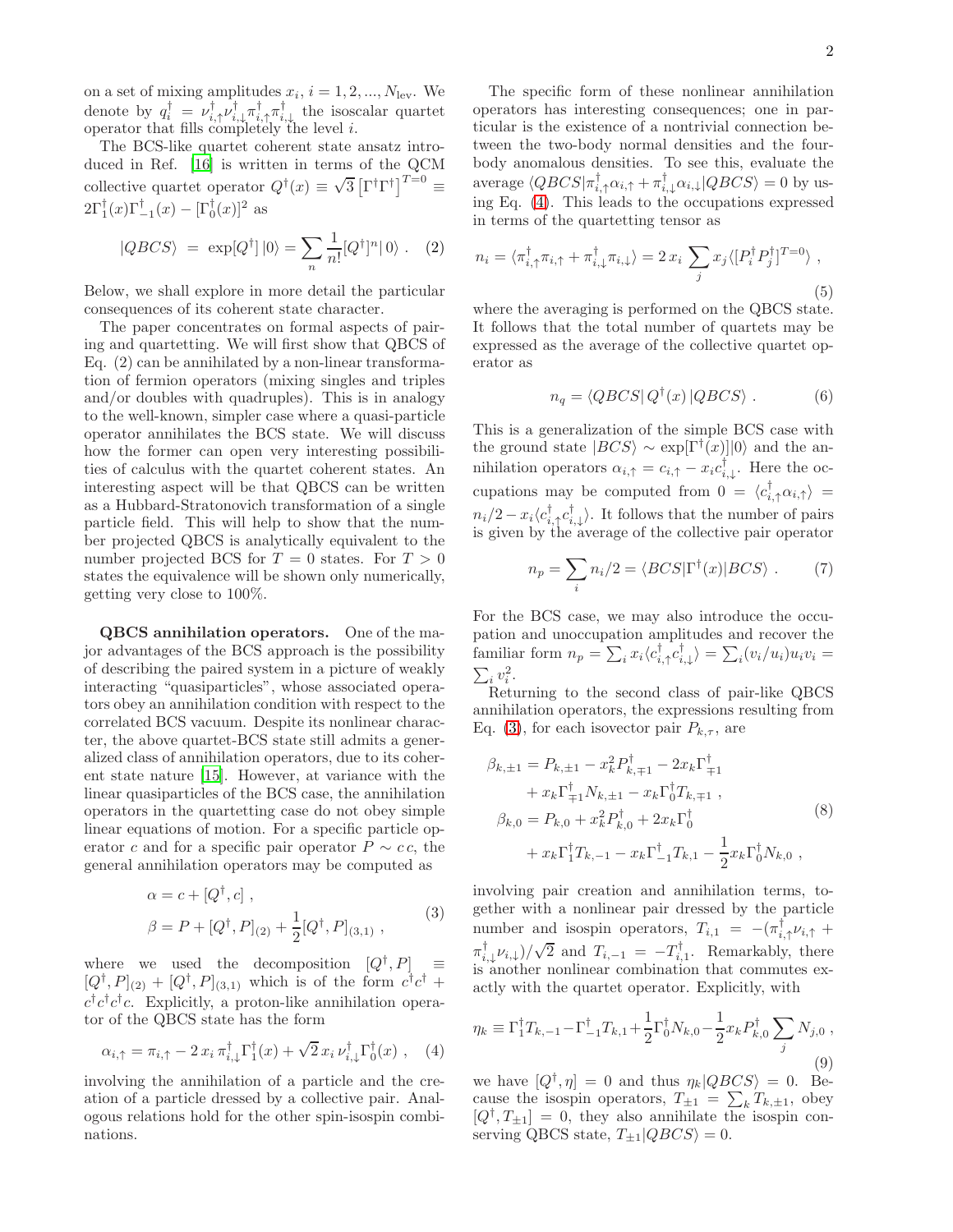on a set of mixing amplitudes  $x_i$ ,  $i = 1, 2, ..., N_{\text{lev}}$ . We denote by  $q_i^{\dagger} = \nu_{i,\uparrow}^{\dagger} \nu_{i,\downarrow}^{\dagger} \pi_{i,\uparrow}^{\dagger} \pi_{i,\downarrow}^{\dagger}$  the isoscalar quartet operator that fills completely the level i.

The BCS-like quartet coherent state ansatz introduced in Ref. [\[16\]](#page-5-15) is written in terms of the QCM collective quartet operator  $Q^{\dagger}(x) \equiv \sqrt{3} \left[ \Gamma^{\dagger} \Gamma^{\dagger} \right]^{T=0} \equiv$  $2\Gamma_1^{\dagger}(x)\Gamma_{-1}^{\dagger}(x) - [\Gamma_0^{\dagger}(x)]^2$  as

$$
|QBCS\rangle = \exp[Q^{\dagger}]|0\rangle = \sum_{n} \frac{1}{n!} [Q^{\dagger}]^{n} |0\rangle . \quad (2)
$$

Below, we shall explore in more detail the particular consequences of its coherent state character.

The paper concentrates on formal aspects of pairing and quartetting. We will first show that QBCS of Eq. (2) can be annihilated by a non-linear transformation of fermion operators (mixing singles and triples and/or doubles with quadruples). This is in analogy to the well-known, simpler case where a quasi-particle operator annihilates the BCS state. We will discuss how the former can open very interesting possibilities of calculus with the quartet coherent states. An interesting aspect will be that QBCS can be written as a Hubbard-Stratonovich transformation of a single particle field. This will help to show that the number projected QBCS is analytically equivalent to the number projected BCS for  $T = 0$  states. For  $T > 0$ states the equivalence will be shown only numerically, getting very close to 100%.

QBCS annihilation operators. One of the major advantages of the BCS approach is the possibility of describing the paired system in a picture of weakly interacting "quasiparticles", whose associated operators obey an annihilation condition with respect to the correlated BCS vacuum. Despite its nonlinear character, the above quartet-BCS state still admits a generalized class of annihilation operators, due to its coherent state nature [\[15](#page-5-14)]. However, at variance with the linear quasiparticles of the BCS case, the annihilation operators in the quartetting case do not obey simple linear equations of motion. For a specific particle operator c and for a specific pair operator  $P \sim c \, c$ , the general annihilation operators may be computed as

<span id="page-1-1"></span>
$$
\alpha = c + [Q^{\dagger}, c],
$$
  
\n
$$
\beta = P + [Q^{\dagger}, P]_{(2)} + \frac{1}{2} [Q^{\dagger}, P]_{(3,1)},
$$
\n(3)

where we used the decomposition  $[Q^{\dagger}, P]_{\dagger} \equiv$  $[Q^{\dagger}, P]_{(2)} + [Q^{\dagger}, P]_{(3,1)}$  which is of the form  $c^{\dagger}c^{\dagger} +$  $c^{\dagger}c^{\dagger}c^{\dagger}c$ . Explicitly, a proton-like annihilation operator of the QBCS state has the form

<span id="page-1-0"></span>
$$
\alpha_{i,\uparrow} = \pi_{i,\uparrow} - 2 x_i \pi_{i,\downarrow}^{\dagger} \Gamma_1^{\dagger}(x) + \sqrt{2} x_i \nu_{i,\downarrow}^{\dagger} \Gamma_0^{\dagger}(x) , \quad (4)
$$

involving the annihilation of a particle and the creation of a particle dressed by a collective pair. Analogous relations hold for the other spin-isospin combinations.

The specific form of these nonlinear annihilation operators has interesting consequences; one in particular is the existence of a nontrivial connection between the two-body normal densities and the fourbody anomalous densities. To see this, evaluate the average  $\langle QBCS | \pi_{i,\uparrow}^{\dagger} \alpha_{i,\uparrow} + \pi_{i,\downarrow}^{\dagger} \alpha_{i,\downarrow} | QBCS \rangle = 0$  by using Eq. [\(4\)](#page-1-0). This leads to the occupations expressed in terms of the quartetting tensor as

<span id="page-1-3"></span>
$$
n_i = \langle \pi_{i,\uparrow}^{\dagger} \pi_{i,\uparrow} + \pi_{i,\downarrow}^{\dagger} \pi_{i,\downarrow} \rangle = 2 x_i \sum_j x_j \langle [P_i^{\dagger} P_j^{\dagger}]^{T=0} \rangle ,
$$
\n(5)

where the averaging is performed on the QBCS state. It follows that the total number of quartets may be expressed as the average of the collective quartet operator as

$$
n_q = \langle QBCS | Q^{\dagger}(x) | QBCS \rangle . \tag{6}
$$

This is a generalization of the simple BCS case with the ground state  $|BCS\rangle \sim \exp[\Gamma^{\dagger}(x)]|0\rangle$  and the annihilation operators  $\alpha_{i,\uparrow} = c_{i,\uparrow} - x_i c_{i,\downarrow}^{\dagger}$ . Here the occupations may be computed from  $0 = \langle c_{i,\uparrow}^{\dagger} \alpha_{i,\uparrow} \rangle =$  $n_i/2 - x_i \langle c_{i,\uparrow}^{\dagger} c_{i,\downarrow}^{\dagger} \rangle$ . It follows that the number of pairs is given by the average of the collective pair operator

$$
n_p = \sum_i n_i/2 = \langle BCS|\Gamma^{\dagger}(x)|BCS\rangle . \tag{7}
$$

For the BCS case, we may also introduce the occupation and unoccupation amplitudes and recover the familiar form  $n_p = \sum_i x_i \langle c_{i,\uparrow}^\dagger c_{i,\downarrow}^\dagger \rangle = \sum_i (v_i/u_i) u_i v_i =$  $\sum_i v_i^2$ .

Returning to the second class of pair-like QBCS annihilation operators, the expressions resulting from Eq. [\(3\)](#page-1-1), for each isovector pair  $P_{k,\tau}$ , are

<span id="page-1-2"></span>
$$
\beta_{k,\pm 1} = P_{k,\pm 1} - x_k^2 P_{k,\mp 1}^\dagger - 2x_k \Gamma_{\mp 1}^\dagger \n+ x_k \Gamma_{\mp 1}^\dagger N_{k,\pm 1} - x_k \Gamma_0^\dagger T_{k,\mp 1} ,\n\beta_{k,0} = P_{k,0} + x_k^2 P_{k,0}^\dagger + 2x_k \Gamma_0^\dagger \n+ x_k \Gamma_1^\dagger T_{k,-1} - x_k \Gamma_{-1}^\dagger T_{k,1} - \frac{1}{2} x_k \Gamma_0^\dagger N_{k,0} ,
$$
\n(8)

involving pair creation and annihilation terms, together with a nonlinear pair dressed by the particle number and isospin operators,  $T_{i,1} = -(\pi_{i,\uparrow}^{\dagger} \nu_{i,\uparrow} +$  $\pi_{i,\downarrow}^{\dagger} \nu_{i,\downarrow}$   $\frac{1}{\sqrt{2}}$  and  $T_{i,-1} = -T_{i,1}^{\dagger}$ . Remarkably, there is another nonlinear combination that commutes exactly with the quartet operator. Explicitly, with

$$
\eta_k \equiv \Gamma_1^{\dagger} T_{k,-1} - \Gamma_{-1}^{\dagger} T_{k,1} + \frac{1}{2} \Gamma_0^{\dagger} N_{k,0} - \frac{1}{2} x_k P_{k,0}^{\dagger} \sum_j N_{j,0} ,
$$
\n(9)

we have  $[Q^{\dagger}, \eta] = 0$  and thus  $\eta_k | QBCS \rangle = 0$ . Because the isospin operators,  $T_{\pm 1} = \sum_{k} T_{k,\pm 1}$ , obey  $[Q^{\dagger}, T_{\pm 1}] = 0$ , they also annihilate the isospin conserving QBCS state,  $T_{\pm 1}$ | $QBCS$  = 0.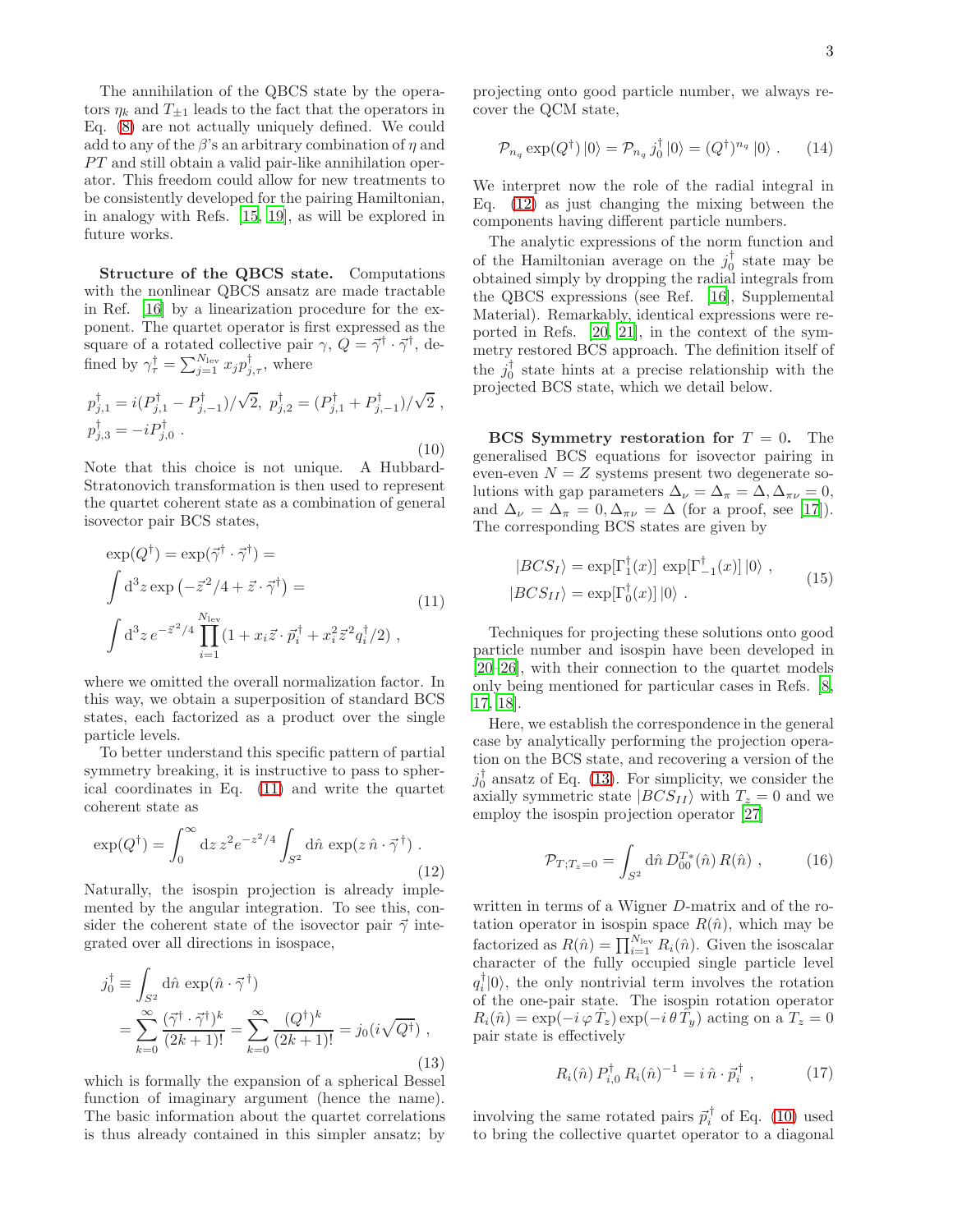The annihilation of the QBCS state by the operators  $\eta_k$  and  $T_{\pm 1}$  leads to the fact that the operators in Eq. [\(8\)](#page-1-2) are not actually uniquely defined. We could add to any of the  $\beta$ 's an arbitrary combination of  $\eta$  and  $PT$  and still obtain a valid pair-like annihilation operator. This freedom could allow for new treatments to be consistently developed for the pairing Hamiltonian, in analogy with Refs. [\[15,](#page-5-14) [19](#page-5-18)], as will be explored in future works.

Structure of the QBCS state. Computations with the nonlinear QBCS ansatz are made tractable in Ref. [\[16\]](#page-5-15) by a linearization procedure for the exponent. The quartet operator is first expressed as the square of a rotated collective pair  $\gamma$ ,  $Q = \vec{\gamma}^{\dagger} \cdot \vec{\gamma}^{\dagger}$ , defined by  $\gamma_{\tau}^{\dagger} = \sum_{j=1}^{N_{\text{lev}}} x_j p_{j,\tau}^{\dagger}$ , where

<span id="page-2-3"></span>
$$
p_{j,1}^{\dagger} = i(P_{j,1}^{\dagger} - P_{j,-1}^{\dagger})/\sqrt{2}, \ p_{j,2}^{\dagger} = (P_{j,1}^{\dagger} + P_{j,-1}^{\dagger})/\sqrt{2},
$$
  

$$
p_{j,3}^{\dagger} = -iP_{j,0}^{\dagger}.
$$
 (10)

Note that this choice is not unique. A Hubbard-Stratonovich transformation is then used to represent the quartet coherent state as a combination of general isovector pair BCS states,

<span id="page-2-0"></span>
$$
\exp(Q^{\dagger}) = \exp(\vec{\gamma}^{\dagger} \cdot \vec{\gamma}^{\dagger}) =
$$
\n
$$
\int d^{3}z \exp\left(-\vec{z}^{2}/4 + \vec{z} \cdot \vec{\gamma}^{\dagger}\right) =
$$
\n
$$
\int d^{3}z e^{-\vec{z}^{2}/4} \prod_{i=1}^{N_{\text{lev}}} (1 + x_{i}\vec{z} \cdot \vec{p}_{i}^{\dagger} + x_{i}^{2}\vec{z}^{2} q_{i}^{\dagger}/2) ,
$$
\n(11)

where we omitted the overall normalization factor. In this way, we obtain a superposition of standard BCS states, each factorized as a product over the single particle levels.

To better understand this specific pattern of partial symmetry breaking, it is instructive to pass to spherical coordinates in Eq. [\(11\)](#page-2-0) and write the quartet coherent state as

<span id="page-2-1"></span>
$$
\exp(Q^{\dagger}) = \int_0^{\infty} dz \, z^2 e^{-z^2/4} \int_{S^2} d\hat{n} \, \exp(z \, \hat{n} \cdot \vec{\gamma}^{\dagger}). \tag{12}
$$

Naturally, the isospin projection is already implemented by the angular integration. To see this, consider the coherent state of the isovector pair  $\vec{\gamma}$  integrated over all directions in isospace,

<span id="page-2-2"></span>
$$
j_0^{\dagger} \equiv \int_{S^2} d\hat{n} \exp(\hat{n} \cdot \vec{\gamma}^{\dagger})
$$
  
= 
$$
\sum_{k=0}^{\infty} \frac{(\vec{\gamma}^{\dagger} \cdot \vec{\gamma}^{\dagger})^k}{(2k+1)!} = \sum_{k=0}^{\infty} \frac{(Q^{\dagger})^k}{(2k+1)!} = j_0(i\sqrt{Q^{\dagger}}),
$$
 (13)

which is formally the expansion of a spherical Bessel function of imaginary argument (hence the name). The basic information about the quartet correlations is thus already contained in this simpler ansatz; by

projecting onto good particle number, we always recover the QCM state,

$$
\mathcal{P}_{n_q} \exp(Q^{\dagger}) |0\rangle = \mathcal{P}_{n_q} j_0^{\dagger} |0\rangle = (Q^{\dagger})^{n_q} |0\rangle . \qquad (14)
$$

We interpret now the role of the radial integral in Eq. [\(12\)](#page-2-1) as just changing the mixing between the components having different particle numbers.

The analytic expressions of the norm function and of the Hamiltonian average on the  $j_0^{\dagger}$  state may be obtained simply by dropping the radial integrals from the QBCS expressions (see Ref. [\[16\]](#page-5-15), Supplemental Material). Remarkably, identical expressions were reported in Refs. [\[20,](#page-5-19) [21\]](#page-5-20), in the context of the symmetry restored BCS approach. The definition itself of the  $j_0^{\dagger}$  state hints at a precise relationship with the projected BCS state, which we detail below.

BCS Symmetry restoration for  $T = 0$ . The generalised BCS equations for isovector pairing in even-even  $N = Z$  systems present two degenerate solutions with gap parameters  $\Delta_{\nu} = \Delta_{\pi} = \Delta, \Delta_{\pi\nu} = 0$ , and  $\Delta_{\nu} = \Delta_{\pi} = 0, \Delta_{\pi\nu} = \Delta$  (for a proof, see [\[17\]](#page-5-16)). The corresponding BCS states are given by

<span id="page-2-4"></span>
$$
|BCS_I\rangle = \exp[\Gamma_1^{\dagger}(x)] \exp[\Gamma_{-1}^{\dagger}(x)] |0\rangle ,
$$
  

$$
|BCS_{II}\rangle = \exp[\Gamma_0^{\dagger}(x)] |0\rangle .
$$
 (15)

Techniques for projecting these solutions onto good particle number and isospin have been developed in [\[20](#page-5-19)[–26\]](#page-5-21), with their connection to the quartet models only being mentioned for particular cases in Refs. [\[8](#page-5-7), [17,](#page-5-16) [18\]](#page-5-17).

Here, we establish the correspondence in the general case by analytically performing the projection operation on the BCS state, and recovering a version of the  $j_0^{\dagger}$  ansatz of Eq. [\(13\)](#page-2-2). For simplicity, we consider the axially symmetric state  $|BCS_{II}\rangle$  with  $T_z = 0$  and we employ the isospin projection operator [\[27\]](#page-5-22)

$$
\mathcal{P}_{T;T_z=0} = \int_{S^2} d\hat{n} \, D_{00}^{T*}(\hat{n}) \, R(\hat{n}) \;, \tag{16}
$$

written in terms of a Wigner D-matrix and of the rotation operator in isospin space  $R(\hat{n})$ , which may be factorized as  $R(\hat{n}) = \prod_{i=1}^{N_{\text{lev}}} R_i(\hat{n})$ . Given the isoscalar character of the fully occupied single particle level  $q_i^{\dagger}|0\rangle$ , the only nontrivial term involves the rotation of the one-pair state. The isospin rotation operator  $R_i(\hat{n}) = \exp(-i \varphi \hat{T}_z) \exp(-i \theta \hat{T}_y)$  acting on a  $T_z = 0$ pair state is effectively

$$
R_i(\hat{n}) P_{i,0}^{\dagger} R_i(\hat{n})^{-1} = i \,\hat{n} \cdot \vec{p}_i^{\dagger} \,, \tag{17}
$$

involving the same rotated pairs  $\vec{p}_i^{\dagger}$  of Eq. [\(10\)](#page-2-3) used to bring the collective quartet operator to a diagonal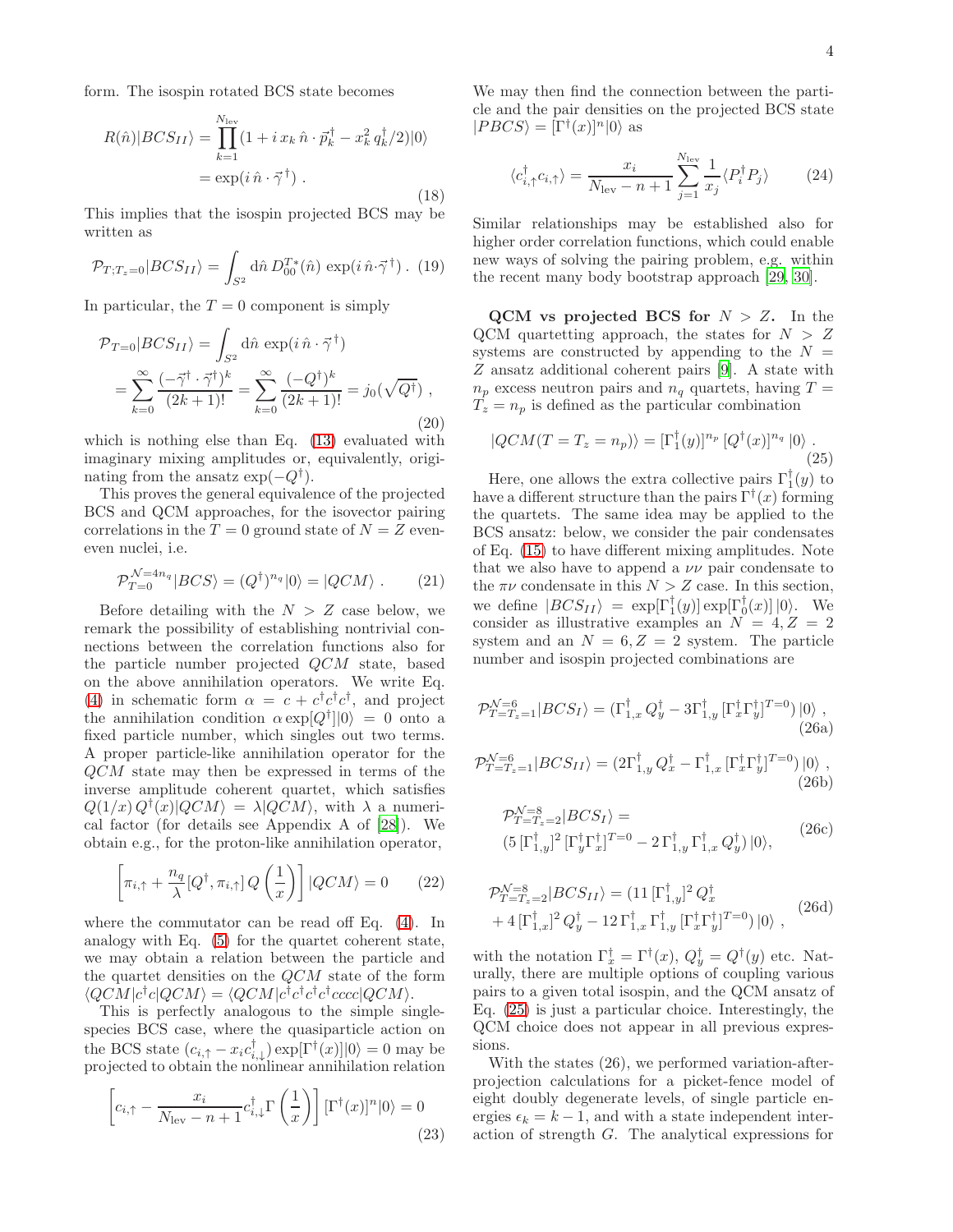form. The isospin rotated BCS state becomes

$$
R(\hat{n})|BCS_{II}\rangle = \prod_{k=1}^{N_{\text{lev}}} (1 + i x_k \,\hat{n} \cdot \vec{p}_k^{\dagger} - x_k^2 q_k^{\dagger}/2)|0\rangle
$$
  
= 
$$
\exp(i \,\hat{n} \cdot \vec{\gamma}^{\dagger}). \tag{18}
$$

This implies that the isospin projected BCS may be written as

$$
\mathcal{P}_{T;T_z=0}|BCS_{II}\rangle = \int_{S^2} d\hat{n} D_{00}^{T*}(\hat{n}) \exp(i \,\hat{n} \cdot \vec{\gamma}^\dagger) . \tag{19}
$$

In particular, the  $T = 0$  component is simply

$$
\mathcal{P}_{T=0}|BCS_{II}\rangle = \int_{S^2} d\hat{n} \exp(i\,\hat{n}\cdot\vec{\gamma}^\dagger) \n= \sum_{k=0}^{\infty} \frac{(-\vec{\gamma}^\dagger \cdot \vec{\gamma}^\dagger)^k}{(2k+1)!} = \sum_{k=0}^{\infty} \frac{(-Q^\dagger)^k}{(2k+1)!} = j_0(\sqrt{Q^\dagger}),
$$
\n(20)

which is nothing else than Eq. [\(13\)](#page-2-2) evaluated with imaginary mixing amplitudes or, equivalently, originating from the ansatz  $\exp(-Q^{\dagger}).$ 

This proves the general equivalence of the projected BCS and QCM approaches, for the isovector pairing correlations in the  $T = 0$  ground state of  $N = Z$  eveneven nuclei, i.e.

$$
\mathcal{P}_{T=0}^{\mathcal{N}=4n_q} |BCS\rangle = (Q^{\dagger})^{n_q} |0\rangle = |QCM\rangle . \tag{21}
$$

Before detailing with the  $N > Z$  case below, we remark the possibility of establishing nontrivial connections between the correlation functions also for the particle number projected QCM state, based on the above annihilation operators. We write Eq. [\(4\)](#page-1-0) in schematic form  $\alpha = c + c^{\dagger} c^{\dagger} c^{\dagger}$ , and project the annihilation condition  $\alpha \exp[Q^{\dagger}]|0\rangle = 0$  onto a fixed particle number, which singles out two terms. A proper particle-like annihilation operator for the QCM state may then be expressed in terms of the inverse amplitude coherent quartet, which satisfies  $Q(1/x) Q^{\dagger}(x) | QCM \rangle = \lambda | QCM \rangle$ , with  $\lambda$  a numerical factor (for details see Appendix A of [\[28\]](#page-5-23)). We obtain e.g., for the proton-like annihilation operator,

$$
\left[\pi_{i,\uparrow} + \frac{n_q}{\lambda} [Q^\dagger, \pi_{i,\uparrow}] Q\left(\frac{1}{x}\right)\right] |QCM\rangle = 0 \qquad (22)
$$

where the commutator can be read off Eq. [\(4\)](#page-1-0). In analogy with Eq. [\(5\)](#page-1-3) for the quartet coherent state, we may obtain a relation between the particle and the quartet densities on the QCM state of the form  $\langle QCM|c^\dagger c|QCM \rangle = \langle QCM|c^\dagger c^\dagger c^\dagger c^\dagger cccc|QCM \rangle.$ 

This is perfectly analogous to the simple singlespecies BCS case, where the quasiparticle action on the BCS state  $(c_{i,\uparrow} - x_i c_{i,\downarrow}^{\dagger}) \exp[\Gamma^{\dagger}(x)]|0\rangle = 0$  may be projected to obtain the nonlinear annihilation relation

$$
\[c_{i,\uparrow} - \frac{x_i}{N_{\text{lev}} - n + 1} c_{i,\downarrow}^{\dagger} \Gamma\left(\frac{1}{x}\right) \] [\Gamma^{\dagger}(x)]^n |0\rangle = 0 \tag{23}
$$

We may then find the connection between the particle and the pair densities on the projected BCS state  $|PBCS\rangle = [\Gamma^{\dagger}(x)]^n |0\rangle$  as

$$
\langle c_{i,\uparrow}^{\dagger} c_{i,\uparrow} \rangle = \frac{x_i}{N_{\text{lev}} - n + 1} \sum_{j=1}^{N_{\text{lev}}} \frac{1}{x_j} \langle P_i^{\dagger} P_j \rangle \tag{24}
$$

Similar relationships may be established also for higher order correlation functions, which could enable new ways of solving the pairing problem, e.g. within the recent many body bootstrap approach [\[29](#page-5-24), [30](#page-5-25)].

QCM vs projected BCS for  $N > Z$ . In the QCM quartetting approach, the states for  $N > Z$ systems are constructed by appending to the  $N =$ Z ansatz additional coherent pairs [\[9](#page-5-8)]. A state with  $n_p$  excess neutron pairs and  $n_q$  quartets, having  $T =$  $T_z = n_p$  is defined as the particular combination

<span id="page-3-0"></span>
$$
|QCM(T = T_z = n_p)\rangle = [\Gamma_1^{\dagger}(y)]^{n_p} [Q^{\dagger}(x)]^{n_q} |0\rangle.
$$
\n(25)

Here, one allows the extra collective pairs  $\Gamma_1^{\dagger}(y)$  to have a different structure than the pairs  $\Gamma^{\dagger}(x)$  forming the quartets. The same idea may be applied to the BCS ansatz: below, we consider the pair condensates of Eq. [\(15\)](#page-2-4) to have different mixing amplitudes. Note that we also have to append a  $\nu\nu$  pair condensate to the  $\pi\nu$  condensate in this  $N > Z$  case. In this section, we define  $|BCS_{II}\rangle = \exp[\Gamma_1^{\dagger}(y)] \exp[\Gamma_0^{\dagger}(x)] |0\rangle$ . We consider as illustrative examples an  $N = 4, Z = 2$ system and an  $N = 6, Z = 2$  system. The particle number and isospin projected combinations are

<span id="page-3-1"></span>
$$
\mathcal{P}_{T=T_z=1}^{\mathcal{N}=6} |BCS_I\rangle = (\Gamma_{1,x}^\dagger Q_y^\dagger - 3\Gamma_{1,y}^\dagger [\Gamma_x^\dagger \Gamma_y^\dagger]^{T=0}) |0\rangle ,
$$
\n(26a)

<span id="page-3-2"></span>
$$
\mathcal{P}_{T=T_z=1}^{\mathcal{N}=6} |BCS_{II}\rangle = (2\Gamma_{1,y}^{\dagger} Q_x^{\dagger} - \Gamma_{1,x}^{\dagger} [\Gamma_x^{\dagger} \Gamma_y^{\dagger}]^{T=0}) |0\rangle ,
$$
\n(26b)

$$
\mathcal{P}_{T=T_z=2}^{\mathcal{N}=8} |BCS_I\rangle =
$$
  
\n
$$
(5\left[\Gamma_{1,y}^{\dagger}\right]^2 \left[\Gamma_y^{\dagger}\Gamma_x^{\dagger}\right]^{T=0} - 2\Gamma_{1,y}^{\dagger}\Gamma_{1,x}^{\dagger} Q_y^{\dagger}\right)|0\rangle,
$$
\n(26c)

$$
\mathcal{P}_{T=T_z=2}^{\mathcal{N}=8} |BCS_{II}\rangle = (11 \left[\Gamma_{1,y}^{\dagger}\right]^2 Q_x^{\dagger} + 4 \left[\Gamma_{1,x}^{\dagger}\right]^2 Q_y^{\dagger} - 12 \Gamma_{1,x}^{\dagger} \Gamma_{1,y}^{\dagger} \left[\Gamma_x^{\dagger} \Gamma_y^{\dagger}\right]^{T=0}) |0\rangle , \qquad (26d)
$$

with the notation  $\Gamma_x^{\dagger} = \Gamma^{\dagger}(x)$ ,  $Q_y^{\dagger} = Q^{\dagger}(y)$  etc. Naturally, there are multiple options of coupling various pairs to a given total isospin, and the QCM ansatz of Eq. [\(25\)](#page-3-0) is just a particular choice. Interestingly, the QCM choice does not appear in all previous expressions.

With the states (26), we performed variation-afterprojection calculations for a picket-fence model of eight doubly degenerate levels, of single particle energies  $\epsilon_k = k - 1$ , and with a state independent interaction of strength G. The analytical expressions for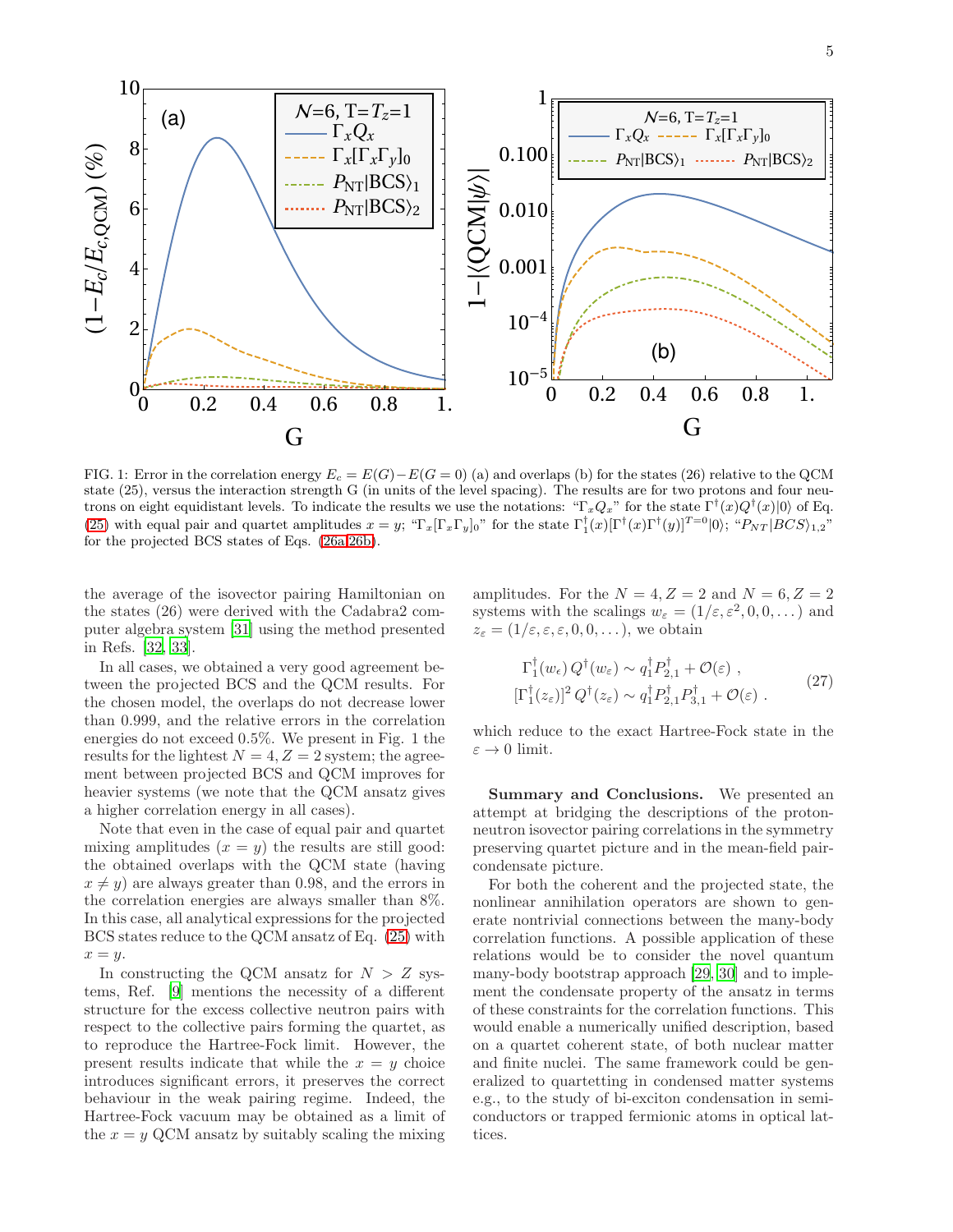

FIG. 1: Error in the correlation energy  $E_c = E(G) - E(G = 0)$  (a) and overlaps (b) for the states (26) relative to the QCM state (25), versus the interaction strength G (in units of the level spacing). The results are for two protons and four neutrons on eight equidistant levels. To indicate the results we use the notations: " $\Gamma_x Q_x$ " for the state  $\Gamma^{\dagger}(x)Q^{\dagger}(x)|0\rangle$  of Eq. [\(25\)](#page-3-0) with equal pair and quartet amplitudes  $x = y$ ; " $\Gamma_x[\Gamma_x \Gamma_y]_0$ " for the state  $\Gamma_1^{\dagger}(x)[\Gamma^{\dagger}(x)\Gamma^{\dagger}(y)]^{T=0}|0\rangle$ ; " $P_{NT}|BCS\rangle_{1,2}$ " for the projected BCS states of Eqs. [\(26a,](#page-3-1)[26b\)](#page-3-2).

the average of the isovector pairing Hamiltonian on the states (26) were derived with the Cadabra2 computer algebra system [\[31](#page-5-26)] using the method presented in Refs. [\[32](#page-5-27), [33](#page-6-0)].

In all cases, we obtained a very good agreement between the projected BCS and the QCM results. For the chosen model, the overlaps do not decrease lower than 0.999, and the relative errors in the correlation energies do not exceed 0.5%. We present in Fig. 1 the results for the lightest  $N = 4, Z = 2$  system; the agreement between projected BCS and QCM improves for heavier systems (we note that the QCM ansatz gives a higher correlation energy in all cases).

Note that even in the case of equal pair and quartet mixing amplitudes  $(x = y)$  the results are still good: the obtained overlaps with the QCM state (having  $x \neq y$ ) are always greater than 0.98, and the errors in the correlation energies are always smaller than 8%. In this case, all analytical expressions for the projected BCS states reduce to the QCM ansatz of Eq. [\(25\)](#page-3-0) with  $x = y$ .

In constructing the QCM ansatz for  $N > Z$  systems, Ref. [\[9\]](#page-5-8) mentions the necessity of a different structure for the excess collective neutron pairs with respect to the collective pairs forming the quartet, as to reproduce the Hartree-Fock limit. However, the present results indicate that while the  $x = y$  choice introduces significant errors, it preserves the correct behaviour in the weak pairing regime. Indeed, the Hartree-Fock vacuum may be obtained as a limit of the  $x = y$  QCM ansatz by suitably scaling the mixing amplitudes. For the  $N = 4, Z = 2$  and  $N = 6, Z = 2$ systems with the scalings  $w_{\varepsilon} = (1/\varepsilon, \varepsilon^2, 0, 0, \dots)$  and  $z_{\varepsilon} = (1/\varepsilon, \varepsilon, \varepsilon, 0, 0, \dots)$ , we obtain

$$
\Gamma_1^{\dagger}(w_{\epsilon}) Q^{\dagger}(w_{\varepsilon}) \sim q_1^{\dagger} P_{2,1}^{\dagger} + \mathcal{O}(\varepsilon) ,
$$
\n
$$
[\Gamma_1^{\dagger}(z_{\varepsilon})]^2 Q^{\dagger}(z_{\varepsilon}) \sim q_1^{\dagger} P_{2,1}^{\dagger} P_{3,1}^{\dagger} + \mathcal{O}(\varepsilon) .
$$
\n(27)

which reduce to the exact Hartree-Fock state in the  $\varepsilon \to 0$  limit.

Summary and Conclusions. We presented an attempt at bridging the descriptions of the protonneutron isovector pairing correlations in the symmetry preserving quartet picture and in the mean-field paircondensate picture.

For both the coherent and the projected state, the nonlinear annihilation operators are shown to generate nontrivial connections between the many-body correlation functions. A possible application of these relations would be to consider the novel quantum many-body bootstrap approach [\[29](#page-5-24), [30](#page-5-25)] and to implement the condensate property of the ansatz in terms of these constraints for the correlation functions. This would enable a numerically unified description, based on a quartet coherent state, of both nuclear matter and finite nuclei. The same framework could be generalized to quartetting in condensed matter systems e.g., to the study of bi-exciton condensation in semiconductors or trapped fermionic atoms in optical lattices.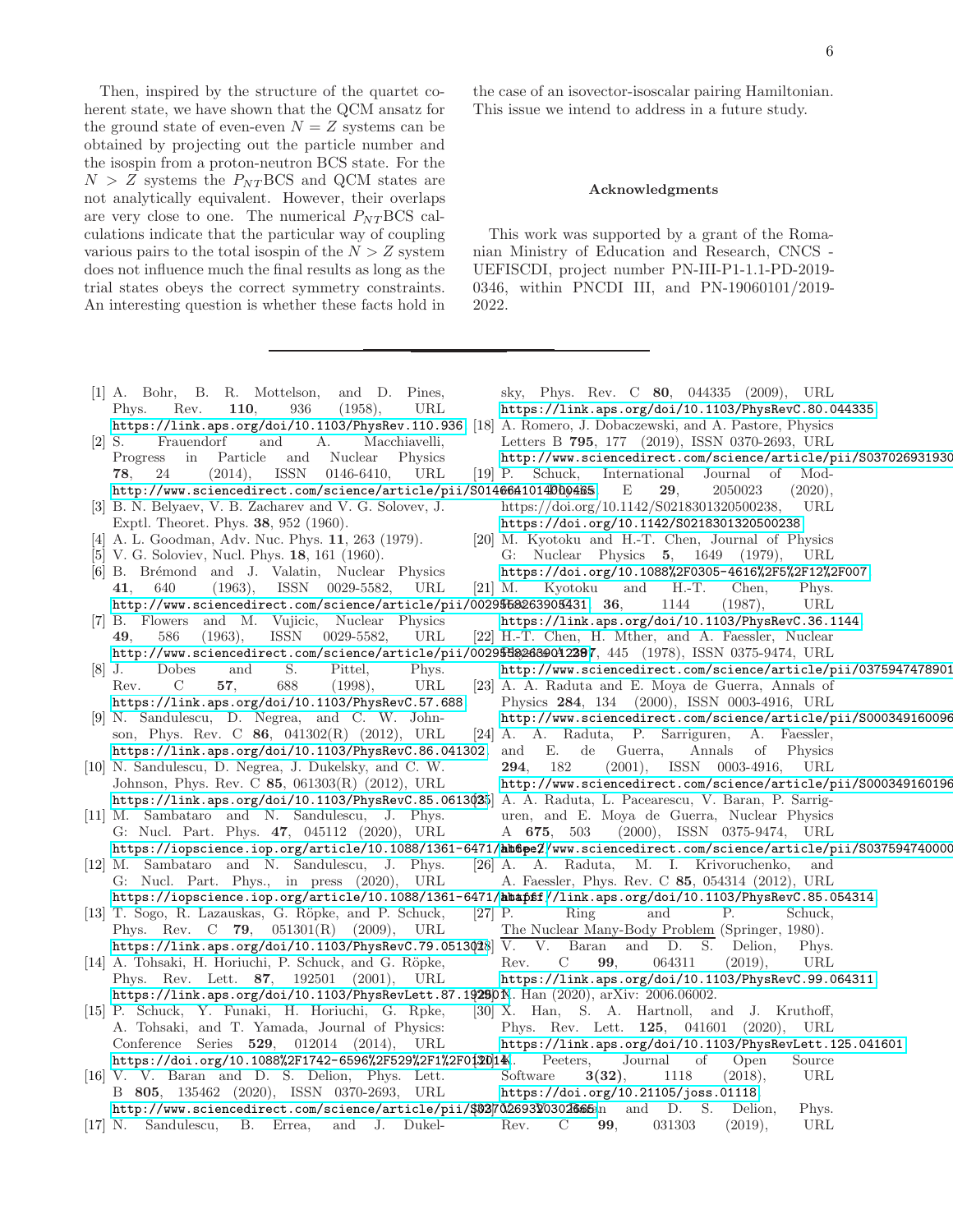Then, inspired by the structure of the quartet coherent state, we have shown that the QCM ansatz for the ground state of even-even  $N = Z$  systems can be obtained by projecting out the particle number and the isospin from a proton-neutron BCS state. For the  $N > Z$  systems the  $P_{NT}$ BCS and QCM states are not analytically equivalent. However, their overlaps are very close to one. The numerical  $P_{NT}BCS$  calculations indicate that the particular way of coupling various pairs to the total isospin of the  $N > Z$  system does not influence much the final results as long as the trial states obeys the correct symmetry constraints. An interesting question is whether these facts hold in

the case of an isovector-isoscalar pairing Hamiltonian. This issue we intend to address in a future study.

## Acknowledgments

<span id="page-5-20"></span><span id="page-5-19"></span><span id="page-5-18"></span><span id="page-5-17"></span>This work was supported by a grant of the Romanian Ministry of Education and Research, CNCS - UEFISCDI, project number PN-III-P1-1.1-PD-2019- 0346, within PNCDI III, and PN-19060101/2019- 2022.

<span id="page-5-27"></span><span id="page-5-26"></span><span id="page-5-25"></span><span id="page-5-24"></span><span id="page-5-23"></span><span id="page-5-22"></span><span id="page-5-21"></span><span id="page-5-16"></span><span id="page-5-15"></span><span id="page-5-14"></span><span id="page-5-13"></span><span id="page-5-12"></span><span id="page-5-11"></span><span id="page-5-10"></span><span id="page-5-9"></span><span id="page-5-8"></span><span id="page-5-7"></span><span id="page-5-6"></span><span id="page-5-5"></span><span id="page-5-4"></span><span id="page-5-3"></span><span id="page-5-2"></span><span id="page-5-1"></span><span id="page-5-0"></span>

| sky, Phys. Rev. C 80, 044335 (2009), URL<br>[1] A. Bohr, B. R. Mottelson, and D. Pines,                                |
|------------------------------------------------------------------------------------------------------------------------|
| 110,<br>(1958),<br>Phys.<br>Rev.<br>936<br>URL<br>https://link.aps.org/doi/10.1103/PhysRevC.80.044335.                 |
| https://link.aps.org/doi/10.1103/PhysRev.110.936. [18] A. Romero, J. Dobaczewski, and A. Pastore, Physics              |
| $[2]$ S.<br>Frauendorf<br>and<br>А.<br>Macchiavelli,<br>Letters B 795, 177 (2019), ISSN 0370-2693, URL                 |
| Particle<br>Physics<br>Progress in<br>and<br>Nuclear<br>http://www.sciencedirect.com/science/article/pii/S037026931930 |
| ISSN<br>24<br>(2014),<br>0146-6410,<br>URL<br>$ 19 $ P. Schuck,<br>International<br>Journal of Mod-<br>78.             |
| http://www.sciencedirect.com/science/article/pii/S0146641014000465.<br>E<br>29,<br>2050023<br>(2020),                  |
| [3] B. N. Belyaev, V. B. Zacharev and V. G. Solovev, J.<br>https://doi.org/10.1142/S0218301320500238,<br>URL           |
| Exptl. Theoret. Phys. 38, 952 (1960).<br>https://doi.org/10.1142/S0218301320500238.                                    |
| [20] M. Kyotoku and H.-T. Chen, Journal of Physics<br>[4] A. L. Goodman, Adv. Nuc. Phys. 11, 263 (1979).               |
| [5] V. G. Soloviev, Nucl. Phys. 18, 161 (1960).<br>G: Nuclear Physics 5, 1649 (1979),<br>URL                           |
| https://doi.org/10.1088%2F0305-4616%2F5%2F12%2F007.<br>[6] B. Brémond and J. Valatin, Nuclear Physics                  |
| $(1963)$ , ISSN 0029-5582,<br>$[21]$ M.<br>Kyotoku<br>H.-T.<br>41,<br>640<br>URL<br>and<br>Chen,<br>Phys.              |
|                                                                                                                        |
| http://www.sciencedirect.com/science/article/pii/0029568263905431. 36,<br>(1987),<br>1144<br>URL                       |
| [7] B. Flowers and M. Vujicic, Nuclear Physics<br>https://link.aps.org/doi/10.1103/PhysRevC.36.1144.                   |
| ISSN<br>[22] H.-T. Chen, H. Mther, and A. Faessler, Nuclear<br>586<br>(1963),<br>$0029 - 5582,$<br>URL<br>49.          |
| http://www.sciencedirect.com/science/article/pii/002958882032397, 445 (1978), ISSN 0375-9474, URL                      |
| S.<br>Pittel,<br>Dobes<br>and<br>Phys.<br>http://www.sciencedirect.com/science/article/pii/0375947478901<br>$ 8 $ J.   |
| C<br>57.<br>688<br>URL<br>Rev.<br>(1998),<br>[23] A. A. Raduta and E. Moya de Guerra, Annals of                        |
| Physics 284, 134 (2000), ISSN 0003-4916, URL<br>https://link.aps.org/doi/10.1103/PhysRevC.57.688.                      |
| [9] N. Sandulescu, D. Negrea, and C. W. John-<br>http://www.sciencedirect.com/science/article/pii/S000349160096        |
| son, Phys. Rev. C 86, 041302(R) (2012), URL<br>[24] A. A. Raduta, P. Sarriguren,<br>A. Faessler,                       |
| https://link.aps.org/doi/10.1103/PhysRevC.86.041302. and E. de Guerra,<br>Annals<br>of<br>Physics                      |
| [10] N. Sandulescu, D. Negrea, J. Dukelsky, and C. W.<br>182<br>$(2001)$ , ISSN 0003-4916, URL<br>294,                 |
| Johnson, Phys. Rev. C $85$ , 061303(R) (2012), URL<br>http://www.sciencedirect.com/science/article/pii/S000349160196   |
| https://link.aps.org/doi/10.1103/PhysRevC.85.0613025 A. A. Raduta, L. Pacearescu, V. Baran, P. Sarrig-                 |
| [11] M. Sambataro and N. Sandulescu, J. Phys.<br>uren, and E. Moya de Guerra, Nuclear Physics                          |
| G: Nucl. Part. Phys. 47, 045112 (2020), URL<br>$(2000)$ , ISSN 0375-9474, URL<br>A 675, 503                            |
| https://iopscience.iop.org/article/10.1088/1361-6471/absenencedirect.com/science/article/pii/S037594740000             |
| [12] M. Sambataro and N. Sandulescu, J. Phys.<br>[26] A. A. Raduta, M. I. Krivoruchenko,<br>and                        |
| G: Nucl. Part. Phys., in press (2020), URL<br>A. Faessler, Phys. Rev. C 85, 054314 (2012), URL                         |
| https://iopscience.iop.org/article/10.1088/1361-6471/abapff//link.aps.org/doi/10.1103/PhysRevC.85.054314.              |
| $[27]$ P.<br>Ring<br>and<br>Р.                                                                                         |
| [13] T. Sogo, R. Lazauskas, G. Röpke, and P. Schuck,<br>Schuck,                                                        |
| Phys. Rev. C 79, $051301(R)$ (2009), URL<br>The Nuclear Many-Body Problem (Springer, 1980).                            |
| https://link.aps.org/doi/10.1103/PhysRevC.79.0513 $\phi$ 28 V.<br>V. Baran<br>and D. S. Delion,<br>Phys.               |
| 99,<br>064311<br>[14] A. Tohsaki, H. Horiuchi, P. Schuck, and G. Röpke,<br>C<br>(2019),<br>Rev.<br>URL                 |
| Phys. Rev. Lett. 87, 192501 (2001), URL<br>https://link.aps.org/doi/10.1103/PhysRevC.99.064311.                        |
| https://link.aps.org/doi/10.1103/PhysRevLett.87.19290K. Han (2020), arXiv: 2006.06002.                                 |
| [15] P. Schuck, Y. Funaki, H. Horiuchi, G. Rpke,<br>[30] X. Han, S. A. Hartnoll, and J. Kruthoff,                      |
| A. Tohsaki, and T. Yamada, Journal of Physics:<br>Phys. Rev. Lett. 125, 041601 (2020), URL                             |
| https://link.aps.org/doi/10.1103/PhysRevLett.125.041601.<br>Conference Series 529, 012014 (2014), URL                  |
| https://doi.org/10.1088%2F1742-6596%2F529%2F1%2F012014K.<br>Peeters,<br>Journal<br>οf<br>Open<br>Source                |
| [16] V. V. Baran and D. S. Delion, Phys. Lett.<br>3(32),<br>1118<br>(2018),<br>URL<br>Software                         |
| B 805, 135462 (2020), ISSN 0370-2693, URL<br>https://doi.org/10.21105/joss.01118.                                      |
| http://www.sciencedirect.com/science/article/pii/\$8270269320302665an and D. S. Delion,<br>Phys.                       |
| $[17]$ N. Sandulescu,<br>C<br>99,<br>031303<br>(2019),<br>URL<br>B. Errea,<br>and J. Dukel-<br>Rev.                    |